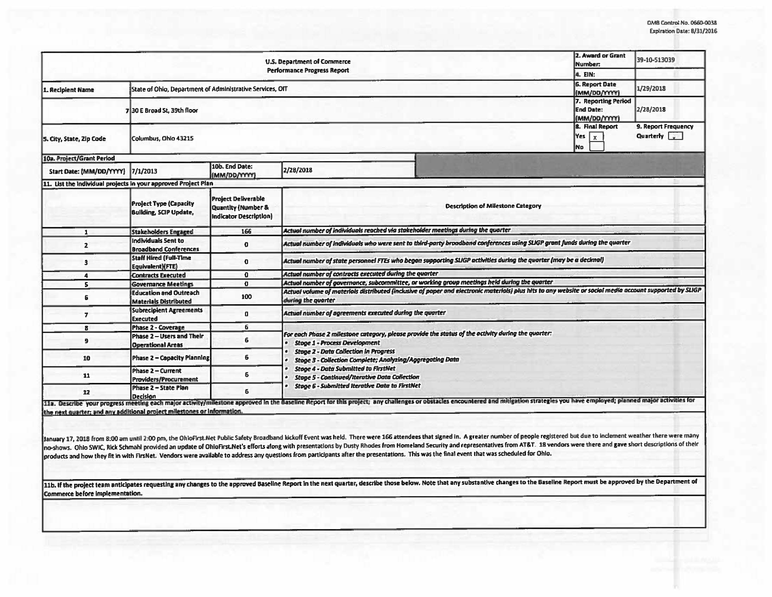| U.S. Department of Commerce<br><b>Performance Progress Report</b> |                                                                |                                                                                   |                                                                                                                                                                                                                                                                                                                                                                                                                                                                                                                                                                                                                                                           | 2. Award or Grant<br>Number:             | 39-10-513039                                            |                                    |  |
|-------------------------------------------------------------------|----------------------------------------------------------------|-----------------------------------------------------------------------------------|-----------------------------------------------------------------------------------------------------------------------------------------------------------------------------------------------------------------------------------------------------------------------------------------------------------------------------------------------------------------------------------------------------------------------------------------------------------------------------------------------------------------------------------------------------------------------------------------------------------------------------------------------------------|------------------------------------------|---------------------------------------------------------|------------------------------------|--|
|                                                                   |                                                                | 4. EIN:                                                                           |                                                                                                                                                                                                                                                                                                                                                                                                                                                                                                                                                                                                                                                           |                                          |                                                         |                                    |  |
| 1. Recipient Name                                                 | State of Ohio, Department of Administrative Services, OIT      |                                                                                   |                                                                                                                                                                                                                                                                                                                                                                                                                                                                                                                                                                                                                                                           | <b>6. Report Date</b><br>(MM/DD/YYYY)    | 1/29/2018                                               |                                    |  |
|                                                                   | 730 E Broad St. 39th floor                                     |                                                                                   |                                                                                                                                                                                                                                                                                                                                                                                                                                                                                                                                                                                                                                                           |                                          | 7. Reporting Period<br><b>End Date:</b><br>(MM/DD/YYYY) | 2/28/2018                          |  |
| 5. City, State, Zip Code                                          | Columbus, Ohio 43215                                           |                                                                                   |                                                                                                                                                                                                                                                                                                                                                                                                                                                                                                                                                                                                                                                           |                                          | 8. Final Report<br>Yes $x$<br><b>No</b>                 | 9. Report Frequency<br>Quarterly v |  |
| 10a. Project/Grant Period                                         |                                                                |                                                                                   |                                                                                                                                                                                                                                                                                                                                                                                                                                                                                                                                                                                                                                                           |                                          |                                                         |                                    |  |
| Start Date: (MM/DD/YYYY)                                          | 7/1/2013                                                       | 10b. End Date:<br>(MM/DD/YYYY)                                                    | 2/28/2018                                                                                                                                                                                                                                                                                                                                                                                                                                                                                                                                                                                                                                                 |                                          |                                                         |                                    |  |
| 11. List the Individual projects in your approved Project Plan    |                                                                |                                                                                   |                                                                                                                                                                                                                                                                                                                                                                                                                                                                                                                                                                                                                                                           |                                          |                                                         |                                    |  |
|                                                                   | <b>Project Type (Capacity</b><br><b>Building, SCIP Update,</b> | <b>Project Deliverable</b><br>Quantity (Number &<br><b>Indicator Description)</b> |                                                                                                                                                                                                                                                                                                                                                                                                                                                                                                                                                                                                                                                           | <b>Description of Milestone Category</b> |                                                         |                                    |  |
| 1                                                                 | <b>Stakeholders Engaged</b>                                    | 166                                                                               | Actual number of individuals reached via stakeholder meetings during the quarter                                                                                                                                                                                                                                                                                                                                                                                                                                                                                                                                                                          |                                          |                                                         |                                    |  |
| $\overline{2}$                                                    | Individuals Sent to<br><b>Broadband Conferences</b>            | $\mathbf{0}$                                                                      | Actual number of individuals who were sent to third-party broadband conferences using SLIGP grant funds during the quarter                                                                                                                                                                                                                                                                                                                                                                                                                                                                                                                                |                                          |                                                         |                                    |  |
| 3                                                                 | <b>Staff Hired (Full-Time</b><br>Equivalent)(FTE)              | $\mathbf 0$                                                                       | Actual number of state personnel FTEs who began supporting SLIGP activities during the quarter (may be a decimal)                                                                                                                                                                                                                                                                                                                                                                                                                                                                                                                                         |                                          |                                                         |                                    |  |
| 4                                                                 | <b>Contracts Executed</b>                                      | $\mathbf{0}$                                                                      | Actual number of contracts executed during the quarter                                                                                                                                                                                                                                                                                                                                                                                                                                                                                                                                                                                                    |                                          |                                                         |                                    |  |
| 5                                                                 | <b>Governance Meetings</b>                                     | $\mathbf{a}$                                                                      | Actual number of governance, subcommittee, or working group meetings held during the quarter                                                                                                                                                                                                                                                                                                                                                                                                                                                                                                                                                              |                                          |                                                         |                                    |  |
| 6                                                                 | <b>Education and Outreach</b><br><b>Materials Distributed</b>  | 100                                                                               | Actual volume of materials distributed (inclusive of paper and electronic materials) plus hits to any website or social media account supported by SLIGP<br>during the quarter                                                                                                                                                                                                                                                                                                                                                                                                                                                                            |                                          |                                                         |                                    |  |
| 7                                                                 | <b>Subrecipient Agreements</b><br><b>Executed</b>              | o                                                                                 | Actual number of agreements executed during the quarter                                                                                                                                                                                                                                                                                                                                                                                                                                                                                                                                                                                                   |                                          |                                                         |                                    |  |
| 8                                                                 | <b>Phase 2 - Coverage</b>                                      | 6                                                                                 |                                                                                                                                                                                                                                                                                                                                                                                                                                                                                                                                                                                                                                                           |                                          |                                                         |                                    |  |
| 9                                                                 | Phase 2 - Users and Their<br><b>Operational Areas</b>          | 6                                                                                 | For each Phase 2 milestone category, please provide the status of the activity during the quarter:<br><b>Stage 1 - Process Development</b><br><b>Stage 2 - Data Collection in Progress</b><br>Stage 3 - Collection Complete; Analyzing/Aggregating Data<br><b>Stoge 4 - Data Submitted to FirstNet</b><br><b>Stage 5 - Continued/Iterative Data Collection</b><br><b>Stage 6 - Submitted Iterative Data to FirstNet</b><br>11a. Describe your progress meeting each major activity/milestone approved in the Baseline Report for this project; any challenges or obstacles encountered and mitigation strategies you have employed; planned major activit |                                          |                                                         |                                    |  |
| 10                                                                | <b>Phase 2 - Capacity Planning</b>                             | 6                                                                                 |                                                                                                                                                                                                                                                                                                                                                                                                                                                                                                                                                                                                                                                           |                                          |                                                         |                                    |  |
| 11                                                                | <b>Phase 2 - Current</b><br>Providers/Procurement              | 6                                                                                 |                                                                                                                                                                                                                                                                                                                                                                                                                                                                                                                                                                                                                                                           |                                          |                                                         |                                    |  |
| 12                                                                | Phase 2 - State Plan<br><b>Decision</b>                        | 6                                                                                 |                                                                                                                                                                                                                                                                                                                                                                                                                                                                                                                                                                                                                                                           |                                          |                                                         |                                    |  |

January 17, 2018 from 8:00 am until 2:00 pm, the OhioFirst.Net Public Safety Broadband kickoff Event was held. There were 166 attendees that signed in. A greater number of people registered but due to indement weather ther no-shows. Ohio SWIC, Rick Schmahl provided an update of OhioFirst.Net's efforts along with presentations by Dusty Rhodes from Homeland Security and representatives from AT&T. 18 vendors were there and gave short descriptio products and how they fit in with FirsNet. Vendors were available to address any questions from participants after the presentations. This was the final event that was scheduled for Ohio.

11b. If the project team anticipates requesting any changes to the approved Baseline Report in the next quarter, describe those below. Note that any substantive changes to the Baseline Report must be approved by the Depart Commerce before Implementation.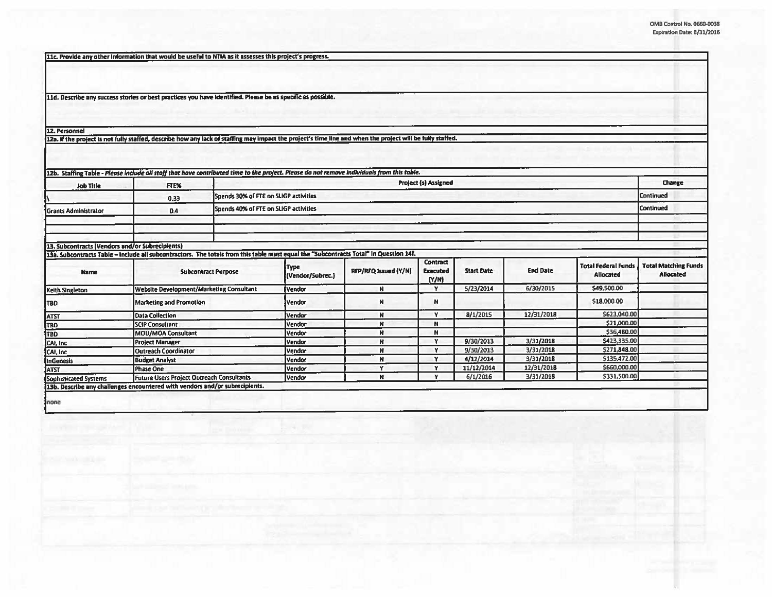11c. Provide any other information that would be useful to NTIA as it assesses this project's progress.

11d. Describe any success stories or best practices you have identified. Please be as specific as possible.

12. Personnel

12a. If the project is not fully staffed, describe how any lack of staffing may impact the project's time line and when the project will be fully staffed.

| <b>Job Title</b>                                | <b>FTE%</b>                                                                                                                           | <b>Project (s) Assigned</b>           |                                                    |                      |                                      |                   |                 |                                                | Change                                          |
|-------------------------------------------------|---------------------------------------------------------------------------------------------------------------------------------------|---------------------------------------|----------------------------------------------------|----------------------|--------------------------------------|-------------------|-----------------|------------------------------------------------|-------------------------------------------------|
|                                                 | 0.33                                                                                                                                  |                                       | Continued<br>Spends 30% of FTE on SLIGP activities |                      |                                      |                   |                 |                                                |                                                 |
| <b>Grants Administrator</b>                     | 0.4                                                                                                                                   | Spends 40% of FTE on SLIGP activities |                                                    |                      |                                      |                   |                 | <b>Continued</b>                               |                                                 |
|                                                 |                                                                                                                                       |                                       |                                                    |                      |                                      |                   |                 |                                                |                                                 |
| 13. Subcontracts (Vendors and/or Subrecipients) |                                                                                                                                       |                                       |                                                    |                      |                                      |                   |                 |                                                |                                                 |
|                                                 | 13a. Subcontracts Table - Include all subcontractors. The totals from this table must equal the "Subcontracts Total" in Question 14f. |                                       |                                                    |                      |                                      |                   |                 |                                                |                                                 |
| <b>Name</b>                                     | <b>Subcontract Purpose</b>                                                                                                            |                                       | <b>Type</b><br>(Vendor/Subrec.)                    | RFP/RFQ Issued (Y/N) | Contract<br><b>Executed</b><br>(N/N) | <b>Start Date</b> | <b>End Date</b> | <b>Total Federal Funds</b><br><b>Allocated</b> | <b>Total Matching Funds</b><br><b>Allocated</b> |
| Keith Singleton                                 | Website Development/Marketing Consultant                                                                                              |                                       | <b>Vendor</b>                                      | N                    | Y                                    | 5/23/2014         | 6/30/2015       | \$49,500.00                                    |                                                 |
| <b>TBD</b>                                      | <b>Marketing and Promotion</b>                                                                                                        |                                       | <b>IVendor</b>                                     | N                    | N                                    |                   |                 | \$18,000.00                                    |                                                 |
| <b>ATST</b>                                     | <b>Data Collection</b>                                                                                                                |                                       | <b>Vendor</b>                                      | N                    | v                                    | 8/1/2015          | 12/31/2018      | \$623,040.00                                   |                                                 |
| TBD                                             | <b>SCIP Consultant</b>                                                                                                                |                                       | Vendor                                             | N                    | N                                    |                   |                 | \$21,000.00                                    |                                                 |
| TBD                                             | <b>MOU/MOA Consultant</b>                                                                                                             |                                       | Vendor                                             | N                    | N                                    |                   |                 | \$36,480.00                                    |                                                 |
| CAI, Inc.                                       | <b>Project Manager</b>                                                                                                                |                                       | Vendor                                             | N                    | ¥                                    | 9/30/2013         | 3/31/2018       | \$423,335.00                                   |                                                 |
| CAI, Inc.                                       | <b>Outreach Coordinator</b>                                                                                                           |                                       | Vendor                                             | N                    | ¥                                    | 9/30/2013         | 3/31/2018       | \$271,848.00                                   |                                                 |
| <b>InGenesis</b>                                | <b>Budget Analyst</b>                                                                                                                 |                                       | Vendor                                             | N                    | v                                    | 4/12/2014         | 3/31/2018       | \$135,472.00                                   |                                                 |
| <b>ATST</b>                                     | <b>Phase One</b>                                                                                                                      |                                       | Vendor                                             | v                    | v                                    | 11/12/2014        | 12/31/2018      | \$660,000.00                                   |                                                 |
| Sophisticated Systems                           | Future Users Project Outreach Consultants                                                                                             |                                       | <b>Vendor</b>                                      | N                    | v                                    | 6/1/2016          | 3/31/2018       | \$331,500.00                                   |                                                 |
|                                                 | 13b. Describe any challenges encountered with vendors and/or subrecipients.                                                           |                                       |                                                    |                      |                                      |                   |                 |                                                |                                                 |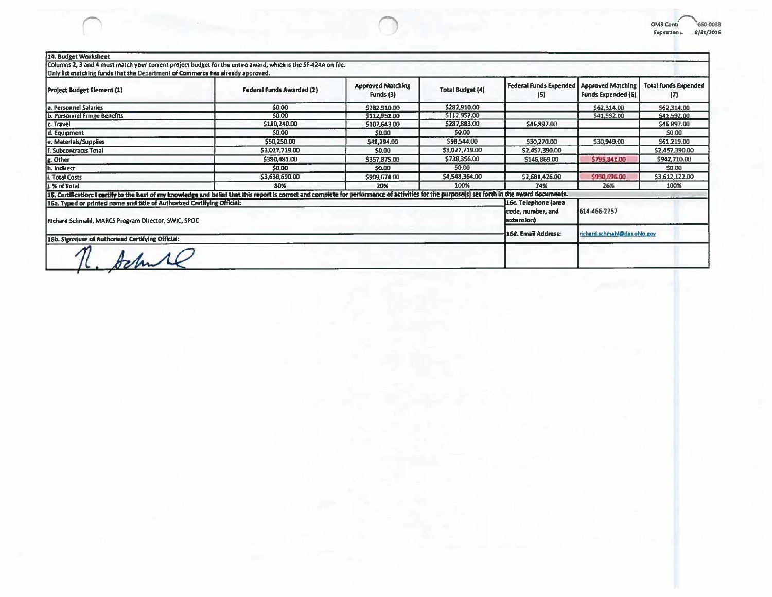| 14. Budget Worksheet                                                           | Columns 2, 3 and 4 must match your current project budget for the entire award, which is the SF-424A on file.                                                                                   |                                              |                         |                                      |                                                |                                    |
|--------------------------------------------------------------------------------|-------------------------------------------------------------------------------------------------------------------------------------------------------------------------------------------------|----------------------------------------------|-------------------------|--------------------------------------|------------------------------------------------|------------------------------------|
| Only list matching funds that the Department of Commerce has already approved. |                                                                                                                                                                                                 |                                              |                         |                                      |                                                |                                    |
| <b>Project Budget Element (1)</b>                                              | Federal Funds Awarded (2)                                                                                                                                                                       | <b>Approved Matching</b><br>Funds (3)        | <b>Total Budget (4)</b> | <b>Federal Funds Expended</b><br>(5) | <b>Approved Matching</b><br>Funds Expended (6) | <b>Total funds Expended</b><br>(7) |
| a. Personnel Salaries                                                          | \$0.00                                                                                                                                                                                          | \$282,910.00                                 | \$282,910.00            |                                      | \$62,314.00                                    | \$62,314.00                        |
| b. Personnel Fringe Benefits                                                   | \$0.00                                                                                                                                                                                          | 5112,952.00                                  | 5112,952.00             |                                      | \$41,592.00                                    | \$41,592.00                        |
| c. Travel                                                                      | \$180,240.00                                                                                                                                                                                    | \$107,643.00                                 | \$287,883.00            | \$46,897.00                          |                                                | \$46,897.00                        |
| d. Equipment                                                                   | \$0.00                                                                                                                                                                                          | \$0.00                                       | 50.00                   |                                      |                                                | \$0.00                             |
| e. Materials/Supplies                                                          | \$50,250.00                                                                                                                                                                                     | \$48,294.00                                  | \$98,544.00             | \$30,270.00                          | \$30,949.00                                    | \$61,219.00                        |
| f. Subcontracts Total                                                          | \$3,027,719.00                                                                                                                                                                                  | \$0.00                                       | \$3,027,719.00          | \$2,457,390.00                       |                                                | \$2,457,390.00                     |
| g. Other                                                                       | \$380,481.00                                                                                                                                                                                    | \$357,875.00                                 | \$738,356.00            | \$146,869.00                         | \$795,841.00                                   | \$942,710.00                       |
| Ih. Indirect                                                                   | \$0.00                                                                                                                                                                                          | \$0.00                                       | 50.00                   |                                      |                                                | \$0.00                             |
| <b>I. Total Costs</b>                                                          | \$3,638,690.00                                                                                                                                                                                  | \$909,674.00                                 | \$4,548,364.00          | \$2,681,426.00                       | \$930,696.00                                   | \$3,612,122.00                     |
| i. % of Total                                                                  | 80%                                                                                                                                                                                             | 20%                                          | 100%                    | 74%                                  | 26%                                            | 100%                               |
|                                                                                | 15. Certification: I certify to the best of my knowledge and belief that this report is correct and complete for performance of activities for the purpose(s) set forth in the award documents. |                                              |                         |                                      |                                                |                                    |
| 16a. Typed or printed name and title of Authorized Certifying Official:        | 16c. Telephone (area<br>code, number, and                                                                                                                                                       | 614-466-2257<br>richard schmahl@das.ohlo.gov |                         |                                      |                                                |                                    |
| Richard Schmahl, MARCS Program Director, SWIC, SPOC                            | extension)                                                                                                                                                                                      |                                              |                         |                                      |                                                |                                    |
|                                                                                | 16d. Email Address:                                                                                                                                                                             |                                              |                         |                                      |                                                |                                    |
| 16b. Signature of Authorized Certifying Official:                              |                                                                                                                                                                                                 |                                              |                         |                                      |                                                |                                    |
|                                                                                |                                                                                                                                                                                                 |                                              |                         |                                      |                                                |                                    |

OMB Conti<br>Explration = 8/31/2016